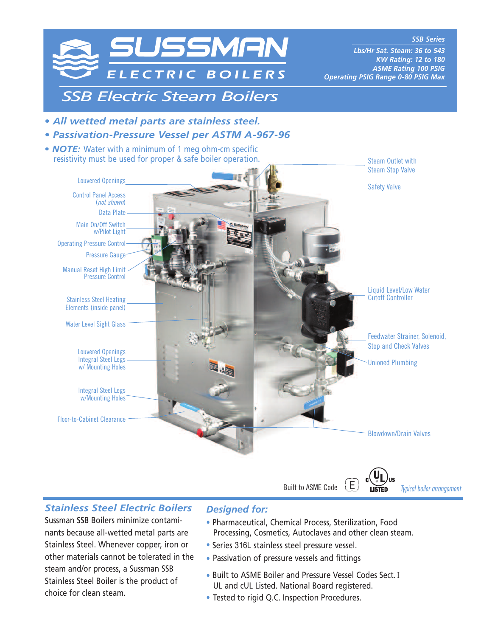

## *Stainless Steel Electric Boilers*

Sussman SSB Boilers minimize contaminants because all-wetted metal parts are Stainless Steel. Whenever copper, iron or other materials cannot be tolerated in the steam and/or process, a Sussman SSB Stainless Steel Boiler is the product of choice for clean steam.

# *Designed for:*

- Pharmaceutical, Chemical Process, Sterilization, Food Processing, Cosmetics, Autoclaves and other clean steam.
- Series 316L stainless steel pressure vessel.
- Passivation of pressure vessels and fittings
- Built to ASME Boiler and Pressure Vessel Codes Sect.I UL and cUL Listed. National Board registered.
- Tested to rigid Q.C. Inspection Procedures.